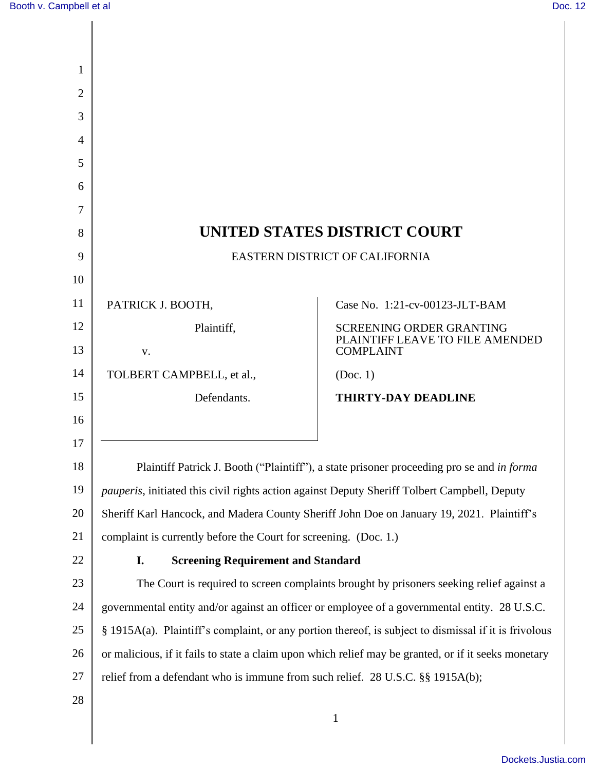| 1              |                                                                                                       |                                                     |  |
|----------------|-------------------------------------------------------------------------------------------------------|-----------------------------------------------------|--|
| $\overline{2}$ |                                                                                                       |                                                     |  |
| 3              |                                                                                                       |                                                     |  |
| 4              |                                                                                                       |                                                     |  |
| 5              |                                                                                                       |                                                     |  |
| 6              |                                                                                                       |                                                     |  |
| 7              |                                                                                                       |                                                     |  |
| 8              | UNITED STATES DISTRICT COURT                                                                          |                                                     |  |
| 9              | EASTERN DISTRICT OF CALIFORNIA                                                                        |                                                     |  |
| 10             |                                                                                                       |                                                     |  |
| 11             | PATRICK J. BOOTH,                                                                                     | Case No. 1:21-cv-00123-JLT-BAM                      |  |
| 12             | Plaintiff,                                                                                            | <b>SCREENING ORDER GRANTING</b>                     |  |
| 13             | V.                                                                                                    | PLAINTIFF LEAVE TO FILE AMENDED<br><b>COMPLAINT</b> |  |
| 14             | TOLBERT CAMPBELL, et al.,                                                                             | (Doc. 1)                                            |  |
| 15             | Defendants.                                                                                           | <b>THIRTY-DAY DEADLINE</b>                          |  |
| 16             |                                                                                                       |                                                     |  |
| 17             |                                                                                                       |                                                     |  |
| 18             | Plaintiff Patrick J. Booth ("Plaintiff"), a state prisoner proceeding pro se and in forma             |                                                     |  |
| 19             | <i>pauperis</i> , initiated this civil rights action against Deputy Sheriff Tolbert Campbell, Deputy  |                                                     |  |
| 20             | Sheriff Karl Hancock, and Madera County Sheriff John Doe on January 19, 2021. Plaintiff's             |                                                     |  |
| 21             | complaint is currently before the Court for screening. (Doc. 1.)                                      |                                                     |  |
| 22             | I.<br><b>Screening Requirement and Standard</b>                                                       |                                                     |  |
| 23             | The Court is required to screen complaints brought by prisoners seeking relief against a              |                                                     |  |
| 24             | governmental entity and/or against an officer or employee of a governmental entity. 28 U.S.C.         |                                                     |  |
| 25             | § 1915A(a). Plaintiff's complaint, or any portion thereof, is subject to dismissal if it is frivolous |                                                     |  |
| 26             | or malicious, if it fails to state a claim upon which relief may be granted, or if it seeks monetary  |                                                     |  |
| 27             | relief from a defendant who is immune from such relief. 28 U.S.C. §§ 1915A(b);                        |                                                     |  |
| 28             |                                                                                                       |                                                     |  |
|                |                                                                                                       | $\mathbf{1}$                                        |  |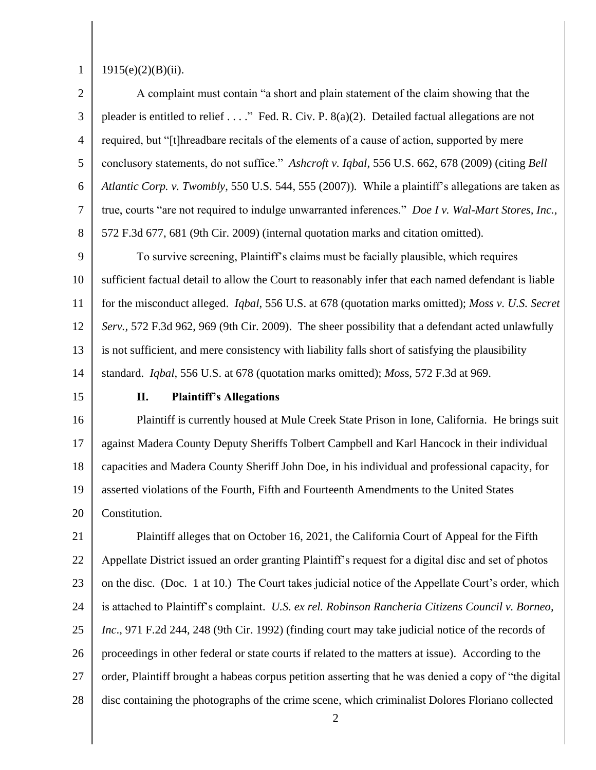1

## $1915(e)(2)(B)(ii)$ .

2 3 4 5 6 7 8 A complaint must contain "a short and plain statement of the claim showing that the pleader is entitled to relief . . . ." Fed. R. Civ. P. 8(a)(2). Detailed factual allegations are not required, but "[t]hreadbare recitals of the elements of a cause of action, supported by mere conclusory statements, do not suffice." *Ashcroft v. Iqbal*, 556 U.S. 662, 678 (2009) (citing *Bell Atlantic Corp. v. Twombly*, 550 U.S. 544, 555 (2007)). While a plaintiff's allegations are taken as true, courts "are not required to indulge unwarranted inferences." *Doe I v. Wal-Mart Stores, Inc.*, 572 F.3d 677, 681 (9th Cir. 2009) (internal quotation marks and citation omitted).

9 10 11 12 13 14 To survive screening, Plaintiff's claims must be facially plausible, which requires sufficient factual detail to allow the Court to reasonably infer that each named defendant is liable for the misconduct alleged. *Iqbal*, 556 U.S. at 678 (quotation marks omitted); *Moss v. U.S. Secret Serv.,* 572 F.3d 962, 969 (9th Cir. 2009). The sheer possibility that a defendant acted unlawfully is not sufficient, and mere consistency with liability falls short of satisfying the plausibility standard. *Iqbal*, 556 U.S. at 678 (quotation marks omitted); *Mos*s, 572 F.3d at 969.

15

### **II. Plaintiff's Allegations**

16 17 18 19 20 Plaintiff is currently housed at Mule Creek State Prison in Ione, California. He brings suit against Madera County Deputy Sheriffs Tolbert Campbell and Karl Hancock in their individual capacities and Madera County Sheriff John Doe, in his individual and professional capacity, for asserted violations of the Fourth, Fifth and Fourteenth Amendments to the United States Constitution.

21 22 23 24 25 26 27 28 Plaintiff alleges that on October 16, 2021, the California Court of Appeal for the Fifth Appellate District issued an order granting Plaintiff's request for a digital disc and set of photos on the disc. (Doc. 1 at 10.) The Court takes judicial notice of the Appellate Court's order, which is attached to Plaintiff's complaint. *U.S. ex rel. Robinson Rancheria Citizens Council v. Borneo, Inc*., 971 F.2d 244, 248 (9th Cir. 1992) (finding court may take judicial notice of the records of proceedings in other federal or state courts if related to the matters at issue). According to the order, Plaintiff brought a habeas corpus petition asserting that he was denied a copy of "the digital disc containing the photographs of the crime scene, which criminalist Dolores Floriano collected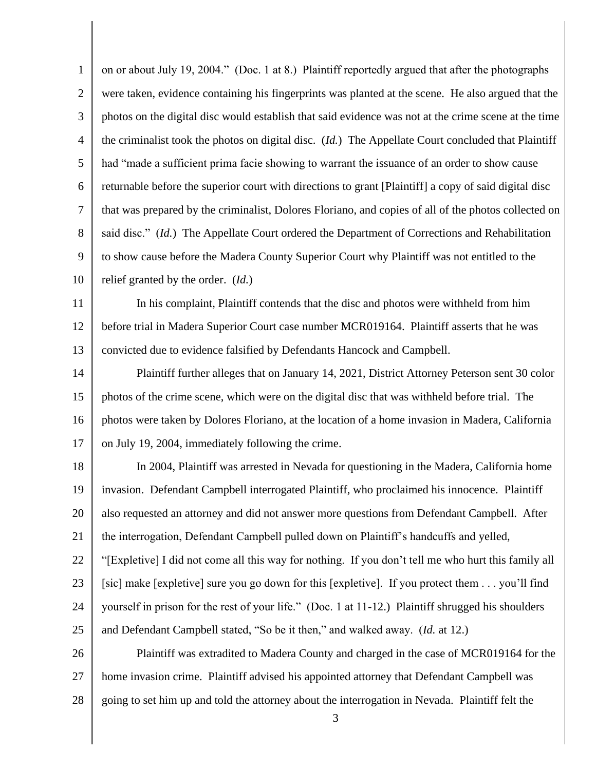1 2 3 4 5 6 7 8 9 10 11 12 13 14 15 16 17 18 19 20 21 22 23 24 25 26 27 28 3 on or about July 19, 2004." (Doc. 1 at 8.) Plaintiff reportedly argued that after the photographs were taken, evidence containing his fingerprints was planted at the scene. He also argued that the photos on the digital disc would establish that said evidence was not at the crime scene at the time the criminalist took the photos on digital disc. (*Id.*) The Appellate Court concluded that Plaintiff had "made a sufficient prima facie showing to warrant the issuance of an order to show cause returnable before the superior court with directions to grant [Plaintiff] a copy of said digital disc that was prepared by the criminalist, Dolores Floriano, and copies of all of the photos collected on said disc." (*Id.*) The Appellate Court ordered the Department of Corrections and Rehabilitation to show cause before the Madera County Superior Court why Plaintiff was not entitled to the relief granted by the order. (*Id.*) In his complaint, Plaintiff contends that the disc and photos were withheld from him before trial in Madera Superior Court case number MCR019164. Plaintiff asserts that he was convicted due to evidence falsified by Defendants Hancock and Campbell. Plaintiff further alleges that on January 14, 2021, District Attorney Peterson sent 30 color photos of the crime scene, which were on the digital disc that was withheld before trial. The photos were taken by Dolores Floriano, at the location of a home invasion in Madera, California on July 19, 2004, immediately following the crime. In 2004, Plaintiff was arrested in Nevada for questioning in the Madera, California home invasion. Defendant Campbell interrogated Plaintiff, who proclaimed his innocence. Plaintiff also requested an attorney and did not answer more questions from Defendant Campbell. After the interrogation, Defendant Campbell pulled down on Plaintiff's handcuffs and yelled, "[Expletive] I did not come all this way for nothing. If you don't tell me who hurt this family all [sic] make [expletive] sure you go down for this [expletive]. If you protect them . . . you'll find yourself in prison for the rest of your life." (Doc. 1 at 11-12.) Plaintiff shrugged his shoulders and Defendant Campbell stated, "So be it then," and walked away. (*Id.* at 12.) Plaintiff was extradited to Madera County and charged in the case of MCR019164 for the home invasion crime. Plaintiff advised his appointed attorney that Defendant Campbell was going to set him up and told the attorney about the interrogation in Nevada. Plaintiff felt the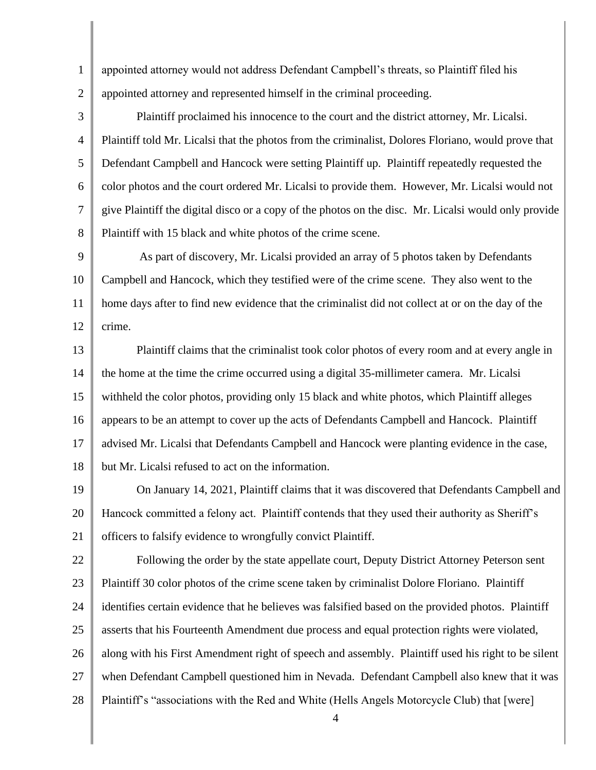1 2 appointed attorney would not address Defendant Campbell's threats, so Plaintiff filed his appointed attorney and represented himself in the criminal proceeding.

3 4 5 6 7 8 Plaintiff proclaimed his innocence to the court and the district attorney, Mr. Licalsi. Plaintiff told Mr. Licalsi that the photos from the criminalist, Dolores Floriano, would prove that Defendant Campbell and Hancock were setting Plaintiff up. Plaintiff repeatedly requested the color photos and the court ordered Mr. Licalsi to provide them. However, Mr. Licalsi would not give Plaintiff the digital disco or a copy of the photos on the disc. Mr. Licalsi would only provide Plaintiff with 15 black and white photos of the crime scene.

9 10 11 12 As part of discovery, Mr. Licalsi provided an array of 5 photos taken by Defendants Campbell and Hancock, which they testified were of the crime scene. They also went to the home days after to find new evidence that the criminalist did not collect at or on the day of the crime.

13 14 15 16 17 18 Plaintiff claims that the criminalist took color photos of every room and at every angle in the home at the time the crime occurred using a digital 35-millimeter camera. Mr. Licalsi withheld the color photos, providing only 15 black and white photos, which Plaintiff alleges appears to be an attempt to cover up the acts of Defendants Campbell and Hancock. Plaintiff advised Mr. Licalsi that Defendants Campbell and Hancock were planting evidence in the case, but Mr. Licalsi refused to act on the information.

19 20 21 On January 14, 2021, Plaintiff claims that it was discovered that Defendants Campbell and Hancock committed a felony act. Plaintiff contends that they used their authority as Sheriff's officers to falsify evidence to wrongfully convict Plaintiff.

22 23 24 25 26 27 28 Following the order by the state appellate court, Deputy District Attorney Peterson sent Plaintiff 30 color photos of the crime scene taken by criminalist Dolore Floriano. Plaintiff identifies certain evidence that he believes was falsified based on the provided photos. Plaintiff asserts that his Fourteenth Amendment due process and equal protection rights were violated, along with his First Amendment right of speech and assembly. Plaintiff used his right to be silent when Defendant Campbell questioned him in Nevada. Defendant Campbell also knew that it was Plaintiff's "associations with the Red and White (Hells Angels Motorcycle Club) that [were]

4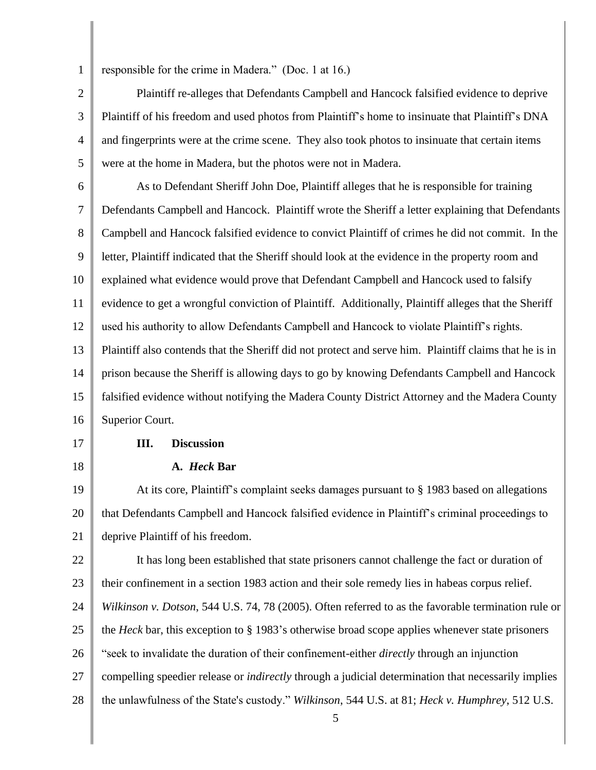1 2

3

4

5

responsible for the crime in Madera." (Doc. 1 at 16.)

Plaintiff re-alleges that Defendants Campbell and Hancock falsified evidence to deprive Plaintiff of his freedom and used photos from Plaintiff's home to insinuate that Plaintiff's DNA and fingerprints were at the crime scene. They also took photos to insinuate that certain items were at the home in Madera, but the photos were not in Madera.

6 7 8 9 10 11 12 13 14 15 16 As to Defendant Sheriff John Doe, Plaintiff alleges that he is responsible for training Defendants Campbell and Hancock. Plaintiff wrote the Sheriff a letter explaining that Defendants Campbell and Hancock falsified evidence to convict Plaintiff of crimes he did not commit. In the letter, Plaintiff indicated that the Sheriff should look at the evidence in the property room and explained what evidence would prove that Defendant Campbell and Hancock used to falsify evidence to get a wrongful conviction of Plaintiff. Additionally, Plaintiff alleges that the Sheriff used his authority to allow Defendants Campbell and Hancock to violate Plaintiff's rights. Plaintiff also contends that the Sheriff did not protect and serve him. Plaintiff claims that he is in prison because the Sheriff is allowing days to go by knowing Defendants Campbell and Hancock falsified evidence without notifying the Madera County District Attorney and the Madera County Superior Court.

17 18

## **III. Discussion**

**A.** *Heck* **Bar**

19 20 21 At its core, Plaintiff's complaint seeks damages pursuant to § 1983 based on allegations that Defendants Campbell and Hancock falsified evidence in Plaintiff's criminal proceedings to deprive Plaintiff of his freedom.

22 23 24 25 It has long been established that state prisoners cannot challenge the fact or duration of their confinement in a section 1983 action and their sole remedy lies in habeas corpus relief. *Wilkinson v. Dotson*, 544 U.S. 74, 78 (2005). Often referred to as the favorable termination rule or the *Heck* bar, this exception to § 1983's otherwise broad scope applies whenever state prisoners

26 "seek to invalidate the duration of their confinement-either *directly* through an injunction

27 compelling speedier release or *indirectly* through a judicial determination that necessarily implies

28 the unlawfulness of the State's custody." *Wilkinson*, 544 U.S. at 81; *Heck v. Humphrey*, 512 U.S.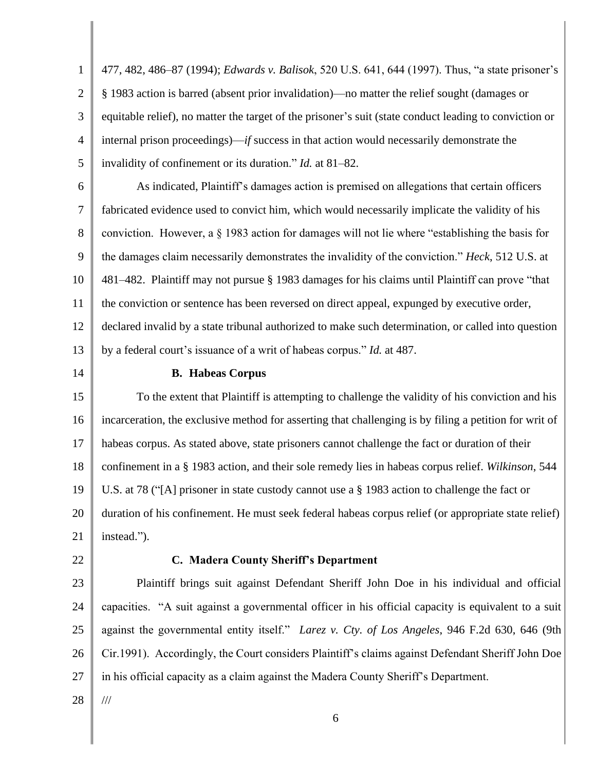1 2 3 4 5 6 7 8 9 10 11 12 13 14 15 16 17 18 19 20 21 22 23 24 25 477, 482, 486–87 (1994); *Edwards v. Balisok*, 520 U.S. 641, 644 (1997). Thus, "a state prisoner's § 1983 action is barred (absent prior invalidation)—no matter the relief sought (damages or equitable relief), no matter the target of the prisoner's suit (state conduct leading to conviction or internal prison proceedings)—*if* success in that action would necessarily demonstrate the invalidity of confinement or its duration." *Id.* at 81–82. As indicated, Plaintiff's damages action is premised on allegations that certain officers fabricated evidence used to convict him, which would necessarily implicate the validity of his conviction. However, a § 1983 action for damages will not lie where "establishing the basis for the damages claim necessarily demonstrates the invalidity of the conviction." *Heck*, 512 U.S. at 481–482. Plaintiff may not pursue § 1983 damages for his claims until Plaintiff can prove "that the conviction or sentence has been reversed on direct appeal, expunged by executive order, declared invalid by a state tribunal authorized to make such determination, or called into question by a federal court's issuance of a writ of habeas corpus." *Id.* at 487. **B. Habeas Corpus** To the extent that Plaintiff is attempting to challenge the validity of his conviction and his incarceration, the exclusive method for asserting that challenging is by filing a petition for writ of habeas corpus. As stated above, state prisoners cannot challenge the fact or duration of their confinement in a § 1983 action, and their sole remedy lies in habeas corpus relief. *Wilkinson*, 544 U.S. at 78 ("[A] prisoner in state custody cannot use a § 1983 action to challenge the fact or duration of his confinement. He must seek federal habeas corpus relief (or appropriate state relief) instead."). **C. Madera County Sheriff's Department** Plaintiff brings suit against Defendant Sheriff John Doe in his individual and official capacities. "A suit against a governmental officer in his official capacity is equivalent to a suit against the governmental entity itself." *Larez v. Cty. of Los Angeles*, 946 F.2d 630, 646 (9th

26 27 Cir.1991). Accordingly, the Court considers Plaintiff's claims against Defendant Sheriff John Doe in his official capacity as a claim against the Madera County Sheriff's Department.

28

///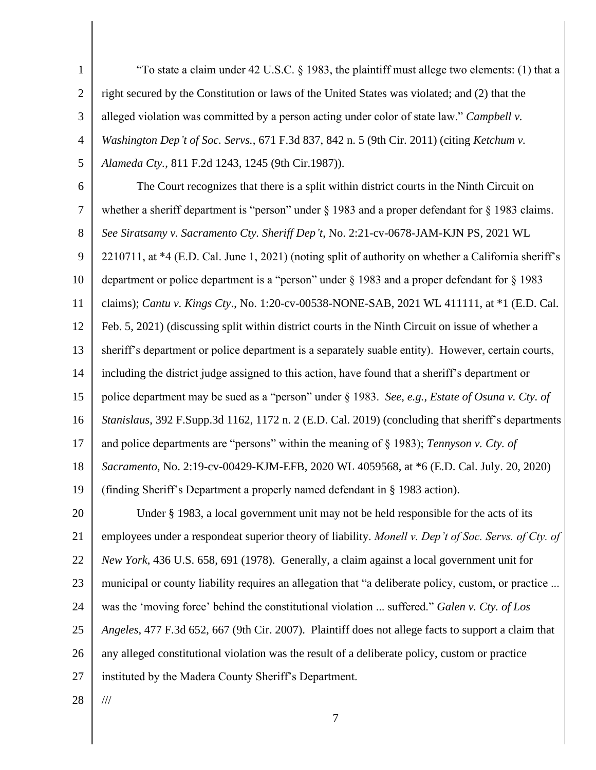1 2 3 4 5 "To state a claim under  $42 \text{ U.S.C. }$  § 1983, the plaintiff must allege two elements: (1) that a right secured by the Constitution or laws of the United States was violated; and (2) that the alleged violation was committed by a person acting under color of state law." *Campbell v. Washington Dep't of Soc. Servs.*, 671 F.3d 837, 842 n. 5 (9th Cir. 2011) (citing *Ketchum v. Alameda Cty.*, 811 F.2d 1243, 1245 (9th Cir.1987)).

6 7 8 9 10 11 12 13 14 15 16 17 18 19 20 21 22 23 The Court recognizes that there is a split within district courts in the Ninth Circuit on whether a sheriff department is "person" under § 1983 and a proper defendant for § 1983 claims. *See Siratsamy v. Sacramento Cty. Sheriff Dep't*, No. 2:21-cv-0678-JAM-KJN PS, 2021 WL 2210711, at \*4 (E.D. Cal. June 1, 2021) (noting split of authority on whether a California sheriff's department or police department is a "person" under § 1983 and a proper defendant for § 1983 claims); *Cantu v. Kings Cty*., No. 1:20-cv-00538-NONE-SAB, 2021 WL 411111, at \*1 (E.D. Cal. Feb. 5, 2021) (discussing split within district courts in the Ninth Circuit on issue of whether a sheriff's department or police department is a separately suable entity). However, certain courts, including the district judge assigned to this action, have found that a sheriff's department or police department may be sued as a "person" under § 1983. *See*, *e.g.*, *Estate of Osuna v. Cty. of Stanislaus*, 392 F.Supp.3d 1162, 1172 n. 2 (E.D. Cal. 2019) (concluding that sheriff's departments and police departments are "persons" within the meaning of § 1983); *Tennyson v. Cty. of Sacramento*, No. 2:19-cv-00429-KJM-EFB, 2020 WL 4059568, at \*6 (E.D. Cal. July. 20, 2020) (finding Sheriff's Department a properly named defendant in § 1983 action). Under § 1983, a local government unit may not be held responsible for the acts of its employees under a respondeat superior theory of liability. *Monell v. Dep't of Soc. Servs. of Cty. of New York*, 436 U.S. 658, 691 (1978). Generally, a claim against a local government unit for municipal or county liability requires an allegation that "a deliberate policy, custom, or practice ...

24 was the 'moving force' behind the constitutional violation ... suffered." *Galen v. Cty. of Los* 

25 *Angeles*, 477 F.3d 652, 667 (9th Cir. 2007). Plaintiff does not allege facts to support a claim that

26 any alleged constitutional violation was the result of a deliberate policy, custom or practice

27 instituted by the Madera County Sheriff's Department.

28

///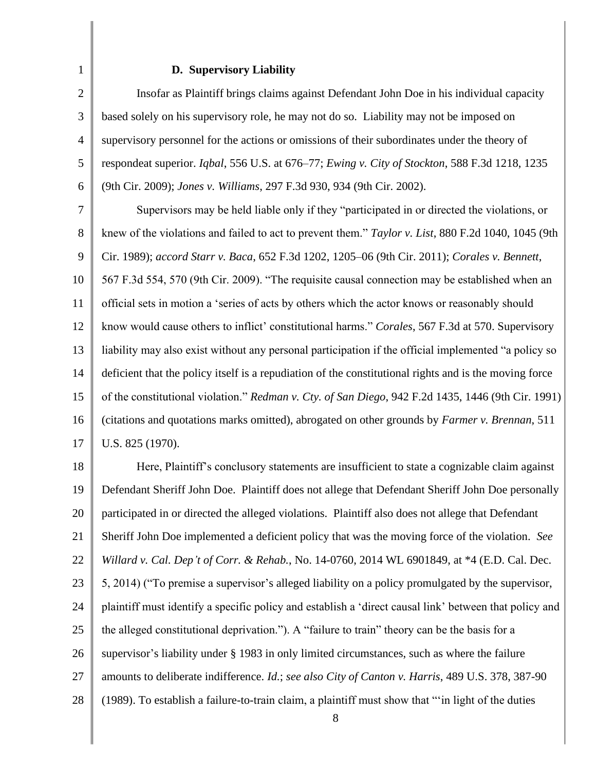# **D. Supervisory Liability**

1

| $\overline{2}$ | Insofar as Plaintiff brings claims against Defendant John Doe in his individual capacity               |  |  |
|----------------|--------------------------------------------------------------------------------------------------------|--|--|
| 3              | based solely on his supervisory role, he may not do so. Liability may not be imposed on                |  |  |
| $\overline{4}$ | supervisory personnel for the actions or omissions of their subordinates under the theory of           |  |  |
| 5              | respondeat superior. Iqbal, 556 U.S. at 676–77; Ewing v. City of Stockton, 588 F.3d 1218, 1235         |  |  |
| 6              | (9th Cir. 2009); Jones v. Williams, 297 F.3d 930, 934 (9th Cir. 2002).                                 |  |  |
| $\tau$         | Supervisors may be held liable only if they "participated in or directed the violations, or            |  |  |
| $8\,$          | knew of the violations and failed to act to prevent them." Taylor v. List, 880 F.2d 1040, 1045 (9th    |  |  |
| 9              | Cir. 1989); accord Starr v. Baca, 652 F.3d 1202, 1205-06 (9th Cir. 2011); Corales v. Bennett,          |  |  |
| 10             | 567 F.3d 554, 570 (9th Cir. 2009). "The requisite causal connection may be established when an         |  |  |
| 11             | official sets in motion a 'series of acts by others which the actor knows or reasonably should         |  |  |
| 12             | know would cause others to inflict' constitutional harms." Corales, 567 F.3d at 570. Supervisory       |  |  |
| 13             | liability may also exist without any personal participation if the official implemented "a policy so   |  |  |
| 14             | deficient that the policy itself is a repudiation of the constitutional rights and is the moving force |  |  |
| 15             | of the constitutional violation." Redman v. Cty. of San Diego, 942 F.2d 1435, 1446 (9th Cir. 1991)     |  |  |
| 16             | (citations and quotations marks omitted), abrogated on other grounds by Farmer v. Brennan, 511         |  |  |
| 17             | U.S. 825 (1970).                                                                                       |  |  |
| 18             | Here, Plaintiff's conclusory statements are insufficient to state a cognizable claim against           |  |  |
| 19             | Defendant Sheriff John Doe. Plaintiff does not allege that Defendant Sheriff John Doe personally       |  |  |
| 20             | participated in or directed the alleged violations. Plaintiff also does not allege that Defendant      |  |  |
| 21             | Sheriff John Doe implemented a deficient policy that was the moving force of the violation. See        |  |  |
| 22             | Willard v. Cal. Dep't of Corr. & Rehab., No. 14-0760, 2014 WL 6901849, at *4 (E.D. Cal. Dec.           |  |  |
| 23             | 5, 2014) ("To premise a supervisor's alleged liability on a policy promulgated by the supervisor,      |  |  |
| 24             | plaintiff must identify a specific policy and establish a 'direct causal link' between that policy and |  |  |
| 25             | the alleged constitutional deprivation."). A "failure to train" theory can be the basis for a          |  |  |
| 26             | supervisor's liability under § 1983 in only limited circumstances, such as where the failure           |  |  |
| 27             | amounts to deliberate indifference. Id.; see also City of Canton v. Harris, 489 U.S. 378, 387-90       |  |  |
| 28             | (1989). To establish a failure-to-train claim, a plaintiff must show that ""in light of the duties     |  |  |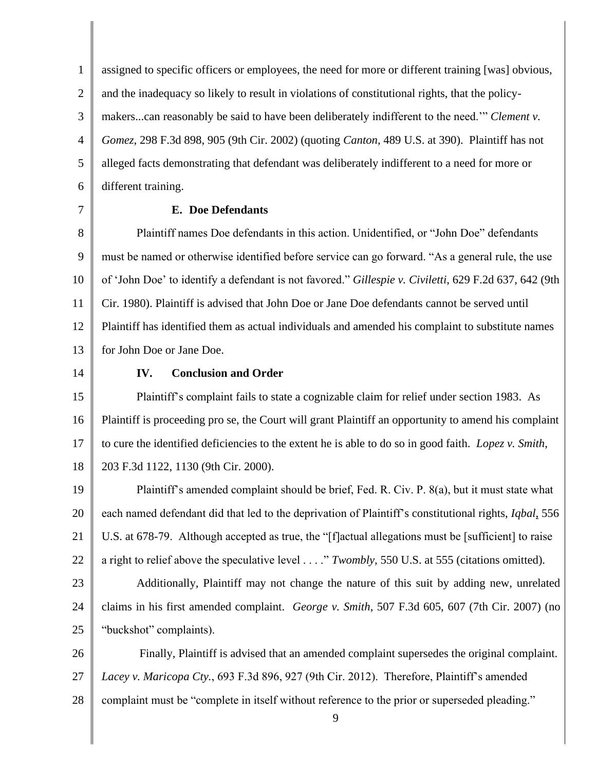1 2 3 4 5 6 assigned to specific officers or employees, the need for more or different training [was] obvious, and the inadequacy so likely to result in violations of constitutional rights, that the policymakers...can reasonably be said to have been deliberately indifferent to the need.'" *Clement v. Gomez*, 298 F.3d 898, 905 (9th Cir. 2002) (quoting *Canton*, 489 U.S. at 390). Plaintiff has not alleged facts demonstrating that defendant was deliberately indifferent to a need for more or different training.

7

### **E. Doe Defendants**

8 9 10 11 12 13 Plaintiff names Doe defendants in this action. Unidentified, or "John Doe" defendants must be named or otherwise identified before service can go forward. "As a general rule, the use of 'John Doe' to identify a defendant is not favored." *Gillespie v. Civiletti*, 629 F.2d 637, 642 (9th Cir. 1980). Plaintiff is advised that John Doe or Jane Doe defendants cannot be served until Plaintiff has identified them as actual individuals and amended his complaint to substitute names for John Doe or Jane Doe.

14

### **IV. Conclusion and Order**

15 16 17 18 Plaintiff's complaint fails to state a cognizable claim for relief under section 1983. As Plaintiff is proceeding pro se, the Court will grant Plaintiff an opportunity to amend his complaint to cure the identified deficiencies to the extent he is able to do so in good faith. *Lopez v. Smith*, 203 F.3d 1122, 1130 (9th Cir. 2000).

19 20 21 22 Plaintiff's amended complaint should be brief, Fed. R. Civ. P. 8(a), but it must state what each named defendant did that led to the deprivation of Plaintiff's constitutional rights, *Iqbal*, 556 U.S. at 678-79. Although accepted as true, the "[f]actual allegations must be [sufficient] to raise a right to relief above the speculative level . . . ." *Twombly*, 550 U.S. at 555 (citations omitted).

- 23
- 24 25

Additionally, Plaintiff may not change the nature of this suit by adding new, unrelated claims in his first amended complaint. *George v. Smith*, 507 F.3d 605, 607 (7th Cir. 2007) (no "buckshot" complaints).

26 27 28 Finally, Plaintiff is advised that an amended complaint supersedes the original complaint. *Lacey v. Maricopa Cty.*, 693 F.3d 896, 927 (9th Cir. 2012). Therefore, Plaintiff's amended complaint must be "complete in itself without reference to the prior or superseded pleading."